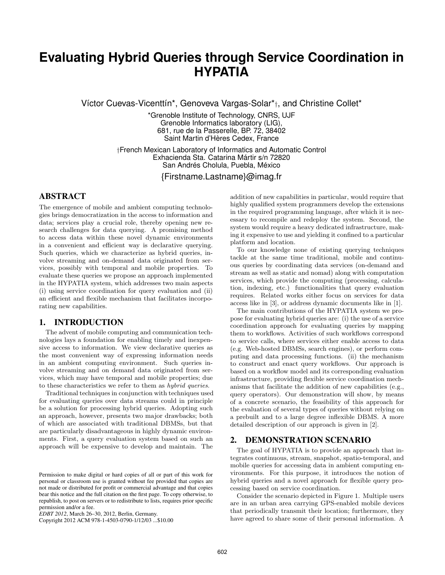# **Evaluating Hybrid Queries through Service Coordination in HYPATIA**

Víctor Cuevas-Vicenttín\*, Genoveva Vargas-Solar\*†, and Christine Collet\*

\*Grenoble Institute of Technology, CNRS, UJF Grenoble Informatics laboratory (LIG), 681, rue de la Passerelle, BP. 72, 38402 Saint Martin d'Hères Cedex, France

†French Mexican Laboratory of Informatics and Automatic Control Exhacienda Sta. Catarina Mártir s/n 72820 San Andrés Cholula, Puebla, México

{Firstname.Lastname}@imag.fr

# ABSTRACT

The emergence of mobile and ambient computing technologies brings democratization in the access to information and data; services play a crucial role, thereby opening new research challenges for data querying. A promising method to access data within these novel dynamic environments. in a convenient and efficient way is declarative querying. Such queries, which we characterize as hybrid queries, involve streaming and on-demand data originated from services, possibly with temporal and mobile properties. To evaluate these queries we propose an approach implemented in the HYPATIA system, which addresses two main aspects (i) using service coordination for query evaluation and (ii) an efficient and flexible mechanism that facilitates incorporating new capabilities. ration capabilities of capabilities.

# 1. INTRODUCTION

The advent of mobile computing and communication tech-<br>nologies lays a foundation for enabling timely and inexpensive access to information. We view declarative queries as the most convenient way of expressing information needs in an ambient computing environment. Such queries involve streaming and on demand data originated from services, which may have temporal and mobile properties; due to these characteristics we refer to them as *hybrid queries*.<br>Traditional techniques in conjunction with techniques used

for evaluating queries over data streams could in principle be a solution for processing hybrid queries. Adopting such an approach, however, presents two major drawbacks; both of which are associated with traditional DBMSs, but that are particularly disadvantageous in highly dynamic environments. First, a query evaluation system based on such an ments. First, a query evaluation system based on such an  $\mathbf{r}_1$  and will be expensive to develop and maintain. The expensive to develop and maintain.

Copyright 2012 ACM 978-1-4503-0790-1/12/03 ...\$10.00

addition of new capabilities in particular, would require that highly qualified system programmers develop the extensions in the required programming language, after which it is necessary to recompile and redeploy the system. Second, the system would require a heavy dedicated infrastructure, making it expensive to use and yielding it confined to a particular platform and location.

To our knowledge none of existing querying techniques tackle at the same time traditional, mobile and continuous queries by coordinating data services (on-demand and stream as well as static and nomad) along with computation services, which provide the computing (processing, calculation, indexing, etc.) functionalities that query evaluation requires. Related works either focus on services for data access like in  $[3]$ , or address dynamic documents like in  $[1]$ .

The main contributions of the HYPATIA system we propose for evaluating hybrid queries are: (i) the use of a service coordination approach for evaluating queries by mapping them to workflows. Activities of such workflows correspond to service calls, where services either enable access to data  $(e.g.$  Web-hosted DBMSs, search engines), or perform computing and data processing functions. (ii) the mechanism to construct and enact query workflows. Our approach is based on a workflow model and its corresponding evaluation infrastructure, providing flexible service coordination mechanisms that facilitate the addition of new capabilities (e.g., query operators). Our demonstration will show, by means of a concrete scenario, the feasibility of this approach for the evaluation of several types of queries without relying on a prebuilt and to a large degree inflexible DBMS. A more detailed description of our approach is given in [2]. detailed description of our approach is given in [2].

## 2. DEMONSTRATION SCENARIO

The goal of HYPATIA is to provide an approach that integrates continuous, stream, snapshot, spatio-temporal, and mobile queries for accessing data in ambient computing environments. For this purpose, it introduces the notion of hybrid queries and a novel approach for flexible query processing based on service coordination.

Consider the scenario depicted in Figure 1. Multiple users are in an urban area carrying GPS-enabled mobile devices that periodically transmit their location; furthermore, they that periodically transmit their receiver, restaurance, they have agreed to share some of their personal information. A

Permission to make digital or hard copies of all or part of this work for personal or classroom use is granted without fee provided that copies are not made or distributed for profit or commercial advantage and that copies bear this notice and the full citation on the first page. To copy otherwise, to republish, to post on servers or to redistribute to lists, requires prior specific permission and/or a fee.

*EDBT 2012*, March 26–30, 2012, Berlin, Germany.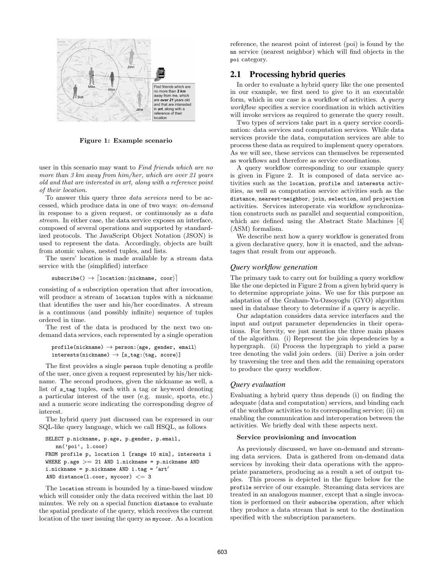

Figure 1: Example scenario

user in this scenario may want to Find friends which are no more than 3 km away from him/her, which are over 21 years old and that are interested in art, along with a reference point of their location.

To answer this query three data services need to be accessed, which produce data in one of two ways: on-demand in response to a given request, or continuously as a data stream. In either case, the data service exposes an interface, composed of several operations and supported by standardized protocols. The JavaScript Object Notation (JSON) is used to represent the data. Accordingly, objects are built from atomic values, nested tuples, and lists.

The users' location is made available by a stream data  $\sigma$  with the (simplified) interface service with the (simplified) interface

 $\text{subscript}() \rightarrow \text{location:}\langle \text{nickname}, \text{coor} \rangle$ 

will produce a stream of location tuples with a nickname<br>that identifies the user and his/her coordinates. A stream that identifies the user and his/her coordinates. A stream<br>is a continuous (and possibly infinite) sequence of tuples ordered in time.

The rest of the data is produced by the next two on- $T_{\text{max}}$  and  $T_{\text{max}}$  is the data is produced by a single operation demand data services, each represented by a single operation

```
\text{profile}(\text{nickanane}) \rightarrow \text{person:}\langle \text{age, gender, email}\rangleinterests(nickname) \rightarrow [s\_tag:(tag, score)]
```
The first provides a single person tuple denoting a profile of the user, once given a request represented by his/her nickname. The second produces, given the nickname as well, a list of  $s$ -tag tuples, each with a tag or keyword denoting<br>a particular interest of the user (e.g. music, sports, etc.) and a numeric score indicating the corresponding degree of  $\frac{1}{2}$  interest

interest.<br>The hybrid query just discussed can be expressed in our The hydrography just discussed can be expressed in our  $S_{\mathbf{Q}}$  in the query language, which we call HS $_{\mathbf{Q}}$ , as follows

```
SELECT p.nickname, p.age, p.gender, p.email,
   nn('poi', l.coor)
FROM profile p, location l [range 10 min], interests i
WHERE p \cdot age \geq 21 AND l.nickname = p \cdot nickname AND
i.nickname = p.nickname AND i.tag = ′art′
AND distance(1.coor, mycoor) <= 3
```
The location stream is bounded by a time-based window which will consider only the data received within the last 10 minutes. We rely on a special function distance to evaluate<br>the spatial predicate of the query which receives the current the spatial predicate of the query, which receives the current location of the user issuing the query as mycoor. As a location

nn service (nearest neighbor) which will find objects in the poi category.

# 2.1 Processing hybrid queries

In order to evaluate a hybrid query like the one presented<br>in our example, we first need to give to it an executable form, which in our case is a workflow of activities. A query  $workflow$  specifies a service coordination in which activities workflow specifies a service coordination in which activities will invoke services as required to generate the query result.

Two types of services take part in a query service coordination: data services and computation services. While data services provide the data, computation services are able to process these data as required to implement query operators. As we will see, these services can themselves be represented as workflows and therefore as service coordinations.

A query workflow corresponding to our example query is given in Figure 2. It is composed of data service ac- $\frac{1}{2}$  is given in Figure 2. It is computation, profile and interests activities as well as computation service activities such as the ities, as we are such a more computation services in the such as the such as the such activities services interconerate via workflow synchronizaactivities. Services interoperate via workflow synchronizawhich are defined using the Abstract State Machines [4]  $(ASM)$  formalism.

We describe next how a query workflow is generated from a given declarative query, how it is enacted, and the advan- $\frac{a}{b}$  and  $\frac{a}{c}$  is the advanced, and the advanced term is enable advanced, and the advanced, and the advanced, and the advanced term is  $\frac{a}{c}$ tages that result from our approach.

# *Query workflow generation*

The primary task to carry out for building a query workflow<br>like the one depicted in Figure 2 from a given hybrid query is to determine appropriate joins. We use for this purpose an adaptation of the Graham-Yu-Ozsoyoglu (GYO) algorithm used in database theory to determine if a query is acyclic.

Our adaptation considers data service interfaces and the input and output parameter dependencies in their operations. For brevity, we just mention the three main phases of the algorithm. (i) Represent the join dependencies by a hypergraph. (ii) Process the hypergraph to yield a parse tree denoting the valid join orders. (iii) Derive a join order by traversing the tree and then add the remaining operators.  $\frac{1}{2}$  to produce the query workflow  $\mathbf{r}$  to produce the query workflow.

#### *Query evaluation*

Evaluating a hybrid query thus depends (i) on finding the of the workflow activities to its corresponding service; (ii) on enabling the communication and interoperation between the  $\frac{1}{2}$  activities We briefly deal with these aspects next activities. We briefly deal with the set  $\mathbf{r}_{\mathbf{p}}$ 

#### Service provisioning and invocation

As previously discussed, we have on-demand and streaming data services. Data is gathered from on-demand data services by invoking their data operations with the appropriate parameters, producing as a result a set of output tuples. This process is depicted in the figure below for the profile service of our example. Streaming data services are<br>profile service of our example. Streaming data services are tion is performed on their subscribe operation, after which<br>they produce a data stream that is sent to the destination they produce a data stream that is sent to the destination specified with the subscription parameters. specified with the subscription parameters.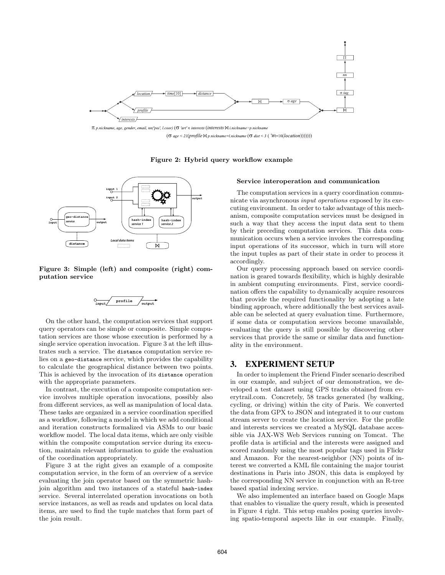

 $\pi$  p.nickname, age, gender, email, nn('poi', l.coor)  $(\sigma$  'art'  $\in$  interests (interests  $\bowtie$  i.nickname=p.nickname  $(\sigma$  age < 21(profile  $\bowtie$  p.nickname=l.nickname ( $\sigma$  dist < 3 (  $\bowtie$ =10(location)))))))

Figure 2: Hybrid query workflow example



Figure 3: Simple (left) and composite (right) computation service

$$
\circledcirc_{\text{input}}\over\hspace{0.6cm}\underbrace{\hspace{0.6cm}}_{\text{output}}\hspace{0.6cm}\underbrace{\hspace{0.6cm}}_{\text{output}}
$$

On the other hand, the computation services that support tation services are those whose execution is performed by a single service operation invocation. Figure 3 at the left illustrates such a service. The distance computation service re-<br>lies on a secodistance service, which provides the capability lies on a geo-distance service, which provides the capability to calculate the geographical distance between two points. This is achieved by the invocation of its distance operation<br>with the appropriate parameters with the appropriate parameters.<br>In contrast, the execution of a composite computation ser-

vice involves multiple operation invocations, possibly also from different services, as well as manipulation of local data. These tasks are organized in a service coordination specified. as a workflow, following a model in which we add conditional and iteration constructs formalized via ASMs to our basic workflow model. The local data items, which are only visible within the composite computation service during its execution, maintain relevant information to guide the evaluation of the coordination appropriately.

Figure 3 at the right gives an example of a composite computation service, in the form of an overview of a service evaluating the join operator based on the symmetric hashjoin algorithm and two instances of a stateful hash-index<br>service Several interrelated oneration invocations on both service. Several interrelated operation invocations on both service instances, as well as reads and updates on local data items, are used to find the tuple matches that form part of items, are used to find the tuple matches that form part of the join result.

#### Service interoperation and communication

nicate via asynchronous *input operations* exposed by its exe-<br>cuting environment. In order to take advantage of this mechcuting environment. In order to take advantage of this mechsuch a way that they access the input data sent to them by their preceding computation services. This data communication occurs when a service invokes the corresponding input operations of its successor, which in turn will store the input tuples as part of their state in order to process it accordingly.

Our query processing approach based on service coordination is geared towards flexibility, which is highly desirable in ambient computing environments. First, service coordination offers the capability to dynamically acquire resources that provide the required functionality by adopting a late binding approach, where additionally the best services available can be selected at query evaluation time. Furthermore, if some data or computation services become unavailable. evaluating the query is still possible by discovering other services that provide the same or similar data and functionality in the environment. ality in the environment.

# 3. EXPERIMENT SETUP

In order to implement the Friend Finder scenario described veloped a test dataset using GPS tracks obtained from everytrail.com. Concretely, 58 tracks generated (by walking, cycling, or driving) within the city of Paris. We converted the data from GPX to JSON and integrated it to our custom stream server to create the location service. For the profile and interests services we created a MySQL database accessible via JAX-WS Web Services running on Tomcat. The profile data is artificial and the interests were assigned and scored randomly using the most popular tags used in Flickr and Amazon. For the nearest-neighbor (NN) points of interest we converted a KML file containing the major tourist destinations in Paris into JSON, this data is employed by the corresponding NN service in conjunction with an R-tree based spatial indexing service.

We also implemented an interface based on Google Maps that enables to visualize the query result, which is presented in Figure 4 right. This setup enables posing queries involvin Figure 4 right. This setup enables posing queries inverted<br>ing enatio-temporal aspects like in our example - Finally ing spatio-temporal aspects like in our example. Finally,